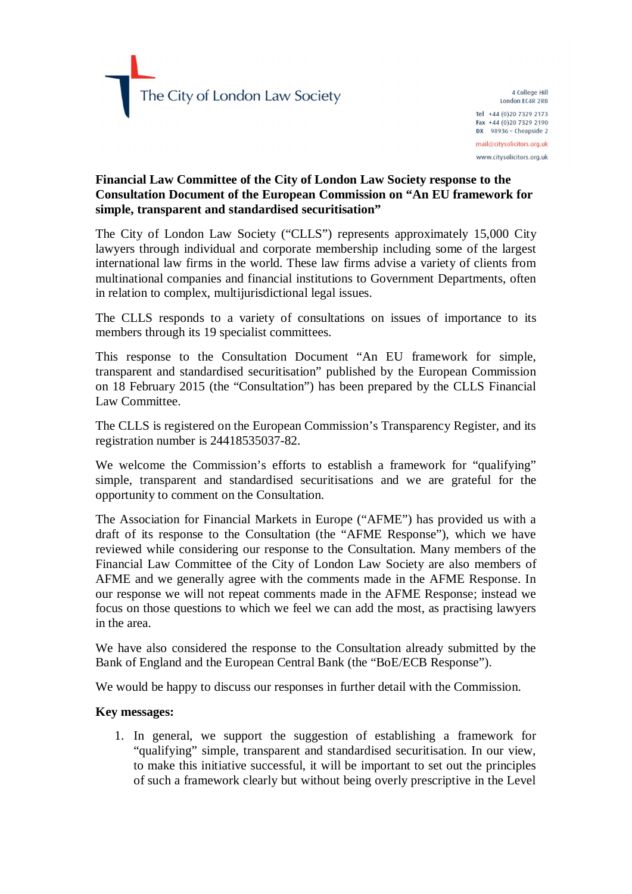4 College Hill London EC4R 2RB Tel +44 (0) 20 7329 2173 Fax +44 (0)20 7329 2190 DX 98936 - Cheapside 2 mail@citysolicitors.org.uk www.citysolicitors.org.uk

# **Financial Law Committee of the City of London Law Society response to the Consultation Document of the European Commission on "An EU framework for simple, transparent and standardised securitisation"**

The City of London Law Society ("CLLS") represents approximately 15,000 City lawyers through individual and corporate membership including some of the largest international law firms in the world. These law firms advise a variety of clients from multinational companies and financial institutions to Government Departments, often in relation to complex, multijurisdictional legal issues.

The CLLS responds to a variety of consultations on issues of importance to its members through its 19 specialist committees.

This response to the Consultation Document "An EU framework for simple, transparent and standardised securitisation" published by the European Commission on 18 February 2015 (the "Consultation") has been prepared by the CLLS Financial Law Committee.

The CLLS is registered on the European Commission's Transparency Register, and its registration number is 24418535037-82.

We welcome the Commission's efforts to establish a framework for "qualifying" simple, transparent and standardised securitisations and we are grateful for the opportunity to comment on the Consultation.

The Association for Financial Markets in Europe ("AFME") has provided us with a draft of its response to the Consultation (the "AFME Response"), which we have reviewed while considering our response to the Consultation. Many members of the Financial Law Committee of the City of London Law Society are also members of AFME and we generally agree with the comments made in the AFME Response. In our response we will not repeat comments made in the AFME Response; instead we focus on those questions to which we feel we can add the most, as practising lawyers in the area.

We have also considered the response to the Consultation already submitted by the Bank of England and the European Central Bank (the "BoE/ECB Response").

We would be happy to discuss our responses in further detail with the Commission.

## **Key messages:**

1. In general, we support the suggestion of establishing a framework for "qualifying" simple, transparent and standardised securitisation. In our view, to make this initiative successful, it will be important to set out the principles of such a framework clearly but without being overly prescriptive in the Level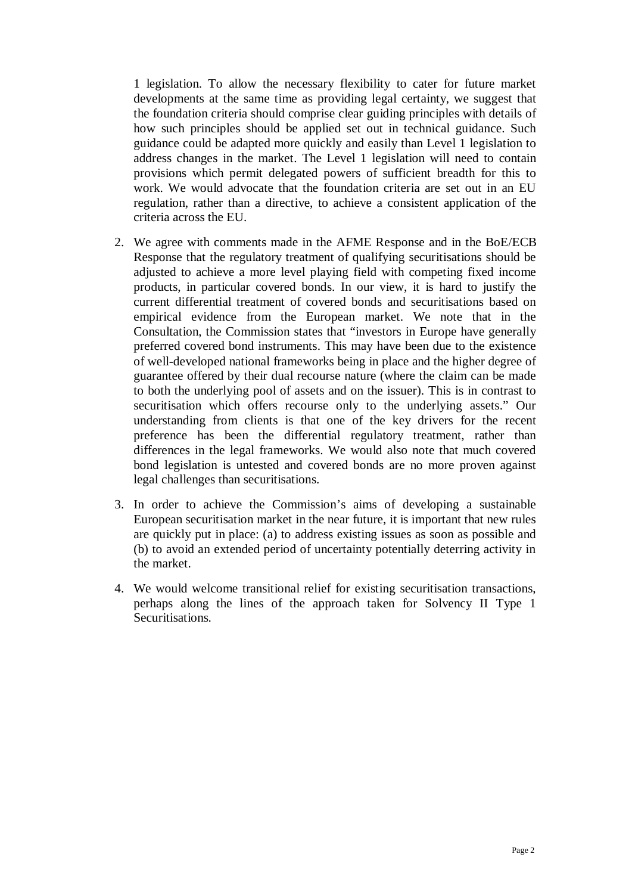1 legislation. To allow the necessary flexibility to cater for future market developments at the same time as providing legal certainty, we suggest that the foundation criteria should comprise clear guiding principles with details of how such principles should be applied set out in technical guidance. Such guidance could be adapted more quickly and easily than Level 1 legislation to address changes in the market. The Level 1 legislation will need to contain provisions which permit delegated powers of sufficient breadth for this to work. We would advocate that the foundation criteria are set out in an EU regulation, rather than a directive, to achieve a consistent application of the criteria across the EU.

- 2. We agree with comments made in the AFME Response and in the BoE/ECB Response that the regulatory treatment of qualifying securitisations should be adjusted to achieve a more level playing field with competing fixed income products, in particular covered bonds. In our view, it is hard to justify the current differential treatment of covered bonds and securitisations based on empirical evidence from the European market. We note that in the Consultation, the Commission states that "investors in Europe have generally preferred covered bond instruments. This may have been due to the existence of well-developed national frameworks being in place and the higher degree of guarantee offered by their dual recourse nature (where the claim can be made to both the underlying pool of assets and on the issuer). This is in contrast to securitisation which offers recourse only to the underlying assets." Our understanding from clients is that one of the key drivers for the recent preference has been the differential regulatory treatment, rather than differences in the legal frameworks. We would also note that much covered bond legislation is untested and covered bonds are no more proven against legal challenges than securitisations.
- 3. In order to achieve the Commission's aims of developing a sustainable European securitisation market in the near future, it is important that new rules are quickly put in place: (a) to address existing issues as soon as possible and (b) to avoid an extended period of uncertainty potentially deterring activity in the market.
- 4. We would welcome transitional relief for existing securitisation transactions, perhaps along the lines of the approach taken for Solvency II Type 1 **Securitisations**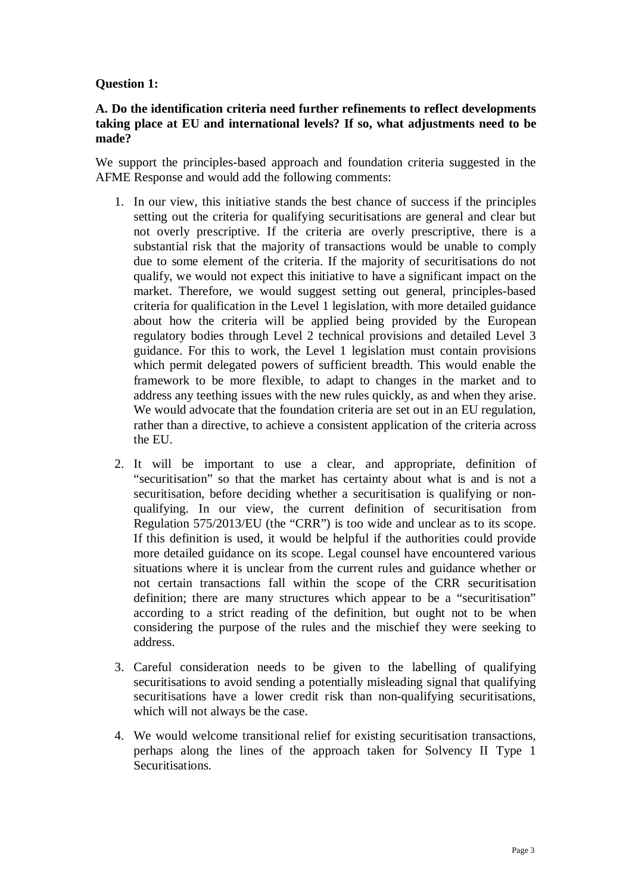# **Question 1:**

# **A. Do the identification criteria need further refinements to reflect developments taking place at EU and international levels? If so, what adjustments need to be made?**

We support the principles-based approach and foundation criteria suggested in the AFME Response and would add the following comments:

- 1. In our view, this initiative stands the best chance of success if the principles setting out the criteria for qualifying securitisations are general and clear but not overly prescriptive. If the criteria are overly prescriptive, there is a substantial risk that the majority of transactions would be unable to comply due to some element of the criteria. If the majority of securitisations do not qualify, we would not expect this initiative to have a significant impact on the market. Therefore, we would suggest setting out general, principles-based criteria for qualification in the Level 1 legislation, with more detailed guidance about how the criteria will be applied being provided by the European regulatory bodies through Level 2 technical provisions and detailed Level 3 guidance. For this to work, the Level 1 legislation must contain provisions which permit delegated powers of sufficient breadth. This would enable the framework to be more flexible, to adapt to changes in the market and to address any teething issues with the new rules quickly, as and when they arise. We would advocate that the foundation criteria are set out in an EU regulation, rather than a directive, to achieve a consistent application of the criteria across the EU.
- 2. It will be important to use a clear, and appropriate, definition of "securitisation" so that the market has certainty about what is and is not a securitisation, before deciding whether a securitisation is qualifying or nonqualifying. In our view, the current definition of securitisation from Regulation 575/2013/EU (the "CRR") is too wide and unclear as to its scope. If this definition is used, it would be helpful if the authorities could provide more detailed guidance on its scope. Legal counsel have encountered various situations where it is unclear from the current rules and guidance whether or not certain transactions fall within the scope of the CRR securitisation definition; there are many structures which appear to be a "securitisation" according to a strict reading of the definition, but ought not to be when considering the purpose of the rules and the mischief they were seeking to address.
- 3. Careful consideration needs to be given to the labelling of qualifying securitisations to avoid sending a potentially misleading signal that qualifying securitisations have a lower credit risk than non-qualifying securitisations, which will not always be the case.
- 4. We would welcome transitional relief for existing securitisation transactions, perhaps along the lines of the approach taken for Solvency II Type 1 Securitisations.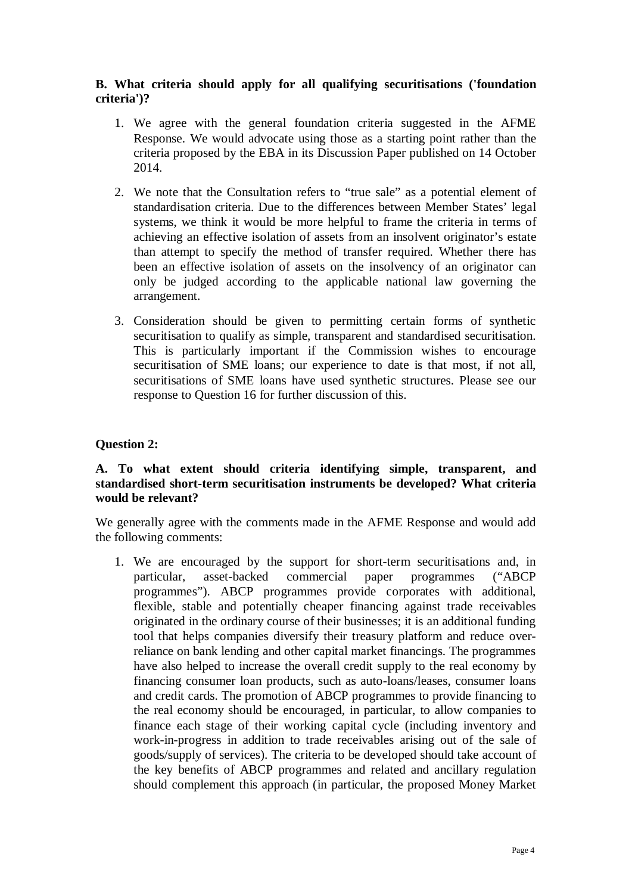# **B. What criteria should apply for all qualifying securitisations ('foundation criteria')?**

- 1. We agree with the general foundation criteria suggested in the AFME Response. We would advocate using those as a starting point rather than the criteria proposed by the EBA in its Discussion Paper published on 14 October 2014.
- 2. We note that the Consultation refers to "true sale" as a potential element of standardisation criteria. Due to the differences between Member States' legal systems, we think it would be more helpful to frame the criteria in terms of achieving an effective isolation of assets from an insolvent originator's estate than attempt to specify the method of transfer required. Whether there has been an effective isolation of assets on the insolvency of an originator can only be judged according to the applicable national law governing the arrangement.
- 3. Consideration should be given to permitting certain forms of synthetic securitisation to qualify as simple, transparent and standardised securitisation. This is particularly important if the Commission wishes to encourage securitisation of SME loans; our experience to date is that most, if not all, securitisations of SME loans have used synthetic structures. Please see our response to Question 16 for further discussion of this.

# **Question 2:**

# **A. To what extent should criteria identifying simple, transparent, and standardised short-term securitisation instruments be developed? What criteria would be relevant?**

We generally agree with the comments made in the AFME Response and would add the following comments:

1. We are encouraged by the support for short-term securitisations and, in particular, asset-backed commercial paper programmes ("ABCP programmes"). ABCP programmes provide corporates with additional, flexible, stable and potentially cheaper financing against trade receivables originated in the ordinary course of their businesses; it is an additional funding tool that helps companies diversify their treasury platform and reduce overreliance on bank lending and other capital market financings. The programmes have also helped to increase the overall credit supply to the real economy by financing consumer loan products, such as auto-loans/leases, consumer loans and credit cards. The promotion of ABCP programmes to provide financing to the real economy should be encouraged, in particular, to allow companies to finance each stage of their working capital cycle (including inventory and work-in-progress in addition to trade receivables arising out of the sale of goods/supply of services). The criteria to be developed should take account of the key benefits of ABCP programmes and related and ancillary regulation should complement this approach (in particular, the proposed Money Market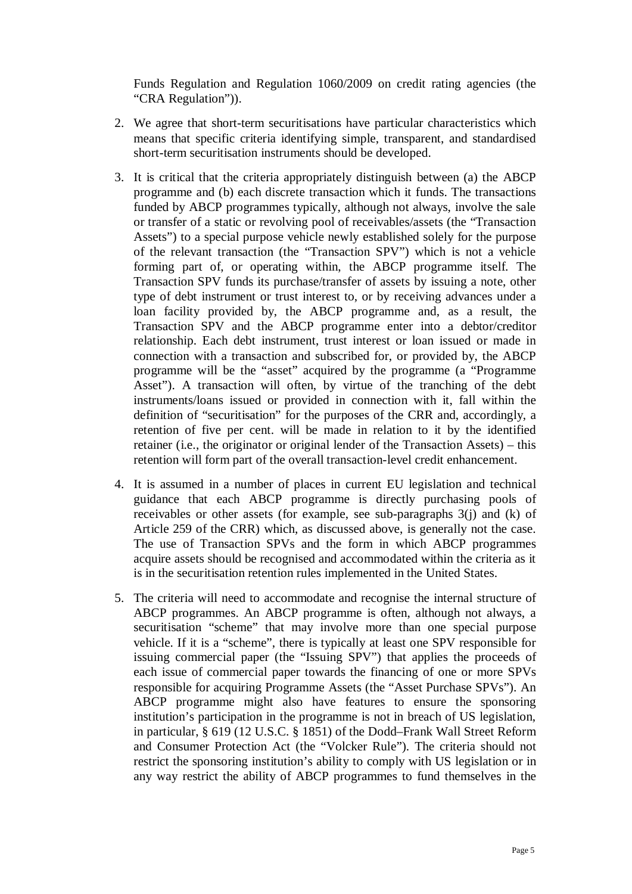Funds Regulation and Regulation 1060/2009 on credit rating agencies (the "CRA Regulation")).

- 2. We agree that short-term securitisations have particular characteristics which means that specific criteria identifying simple, transparent, and standardised short-term securitisation instruments should be developed.
- 3. It is critical that the criteria appropriately distinguish between (a) the ABCP programme and (b) each discrete transaction which it funds. The transactions funded by ABCP programmes typically, although not always, involve the sale or transfer of a static or revolving pool of receivables/assets (the "Transaction Assets") to a special purpose vehicle newly established solely for the purpose of the relevant transaction (the "Transaction SPV") which is not a vehicle forming part of, or operating within, the ABCP programme itself. The Transaction SPV funds its purchase/transfer of assets by issuing a note, other type of debt instrument or trust interest to, or by receiving advances under a loan facility provided by, the ABCP programme and, as a result, the Transaction SPV and the ABCP programme enter into a debtor/creditor relationship. Each debt instrument, trust interest or loan issued or made in connection with a transaction and subscribed for, or provided by, the ABCP programme will be the "asset" acquired by the programme (a "Programme Asset"). A transaction will often, by virtue of the tranching of the debt instruments/loans issued or provided in connection with it, fall within the definition of "securitisation" for the purposes of the CRR and, accordingly, a retention of five per cent. will be made in relation to it by the identified retainer (i.e., the originator or original lender of the Transaction Assets) – this retention will form part of the overall transaction-level credit enhancement.
- 4. It is assumed in a number of places in current EU legislation and technical guidance that each ABCP programme is directly purchasing pools of receivables or other assets (for example, see sub-paragraphs 3(j) and (k) of Article 259 of the CRR) which, as discussed above, is generally not the case. The use of Transaction SPVs and the form in which ABCP programmes acquire assets should be recognised and accommodated within the criteria as it is in the securitisation retention rules implemented in the United States.
- 5. The criteria will need to accommodate and recognise the internal structure of ABCP programmes. An ABCP programme is often, although not always, a securitisation "scheme" that may involve more than one special purpose vehicle. If it is a "scheme", there is typically at least one SPV responsible for issuing commercial paper (the "Issuing SPV") that applies the proceeds of each issue of commercial paper towards the financing of one or more SPVs responsible for acquiring Programme Assets (the "Asset Purchase SPVs"). An ABCP programme might also have features to ensure the sponsoring institution's participation in the programme is not in breach of US legislation, in particular, § 619 (12 U.S.C. § 1851) of the Dodd–Frank Wall Street Reform and Consumer Protection Act (the "Volcker Rule"). The criteria should not restrict the sponsoring institution's ability to comply with US legislation or in any way restrict the ability of ABCP programmes to fund themselves in the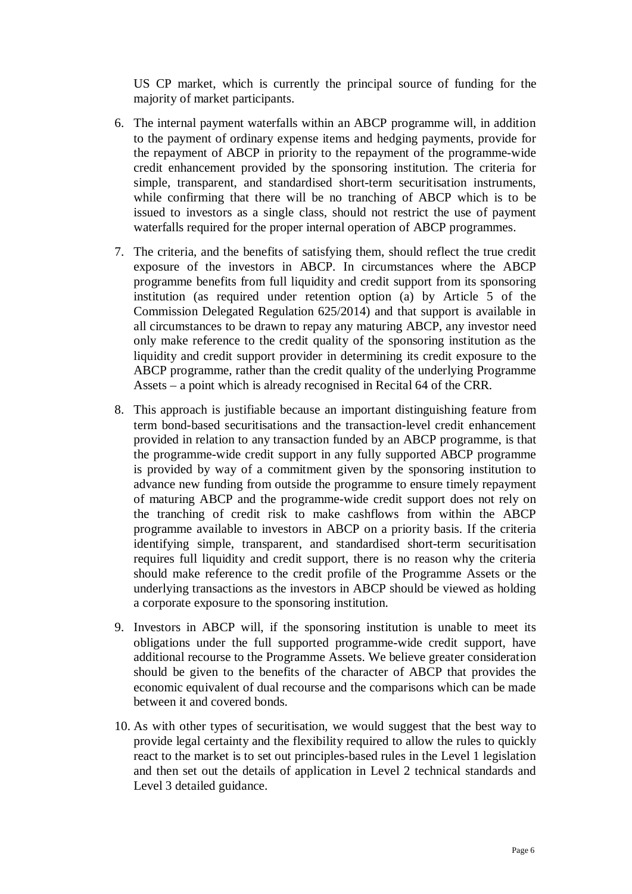US CP market, which is currently the principal source of funding for the majority of market participants.

- 6. The internal payment waterfalls within an ABCP programme will, in addition to the payment of ordinary expense items and hedging payments, provide for the repayment of ABCP in priority to the repayment of the programme-wide credit enhancement provided by the sponsoring institution. The criteria for simple, transparent, and standardised short-term securitisation instruments, while confirming that there will be no tranching of ABCP which is to be issued to investors as a single class, should not restrict the use of payment waterfalls required for the proper internal operation of ABCP programmes.
- 7. The criteria, and the benefits of satisfying them, should reflect the true credit exposure of the investors in ABCP. In circumstances where the ABCP programme benefits from full liquidity and credit support from its sponsoring institution (as required under retention option (a) by Article 5 of the Commission Delegated Regulation 625/2014) and that support is available in all circumstances to be drawn to repay any maturing ABCP, any investor need only make reference to the credit quality of the sponsoring institution as the liquidity and credit support provider in determining its credit exposure to the ABCP programme, rather than the credit quality of the underlying Programme Assets – a point which is already recognised in Recital 64 of the CRR.
- 8. This approach is justifiable because an important distinguishing feature from term bond-based securitisations and the transaction-level credit enhancement provided in relation to any transaction funded by an ABCP programme, is that the programme-wide credit support in any fully supported ABCP programme is provided by way of a commitment given by the sponsoring institution to advance new funding from outside the programme to ensure timely repayment of maturing ABCP and the programme-wide credit support does not rely on the tranching of credit risk to make cashflows from within the ABCP programme available to investors in ABCP on a priority basis. If the criteria identifying simple, transparent, and standardised short-term securitisation requires full liquidity and credit support, there is no reason why the criteria should make reference to the credit profile of the Programme Assets or the underlying transactions as the investors in ABCP should be viewed as holding a corporate exposure to the sponsoring institution.
- 9. Investors in ABCP will, if the sponsoring institution is unable to meet its obligations under the full supported programme-wide credit support, have additional recourse to the Programme Assets. We believe greater consideration should be given to the benefits of the character of ABCP that provides the economic equivalent of dual recourse and the comparisons which can be made between it and covered bonds.
- 10. As with other types of securitisation, we would suggest that the best way to provide legal certainty and the flexibility required to allow the rules to quickly react to the market is to set out principles-based rules in the Level 1 legislation and then set out the details of application in Level 2 technical standards and Level 3 detailed guidance.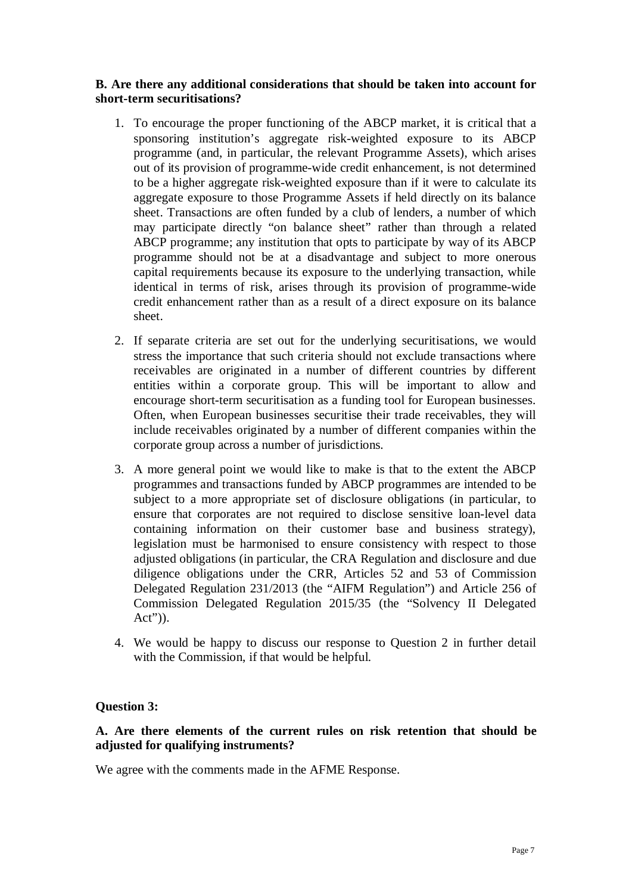# **B. Are there any additional considerations that should be taken into account for short-term securitisations?**

- 1. To encourage the proper functioning of the ABCP market, it is critical that a sponsoring institution's aggregate risk-weighted exposure to its ABCP programme (and, in particular, the relevant Programme Assets), which arises out of its provision of programme-wide credit enhancement, is not determined to be a higher aggregate risk-weighted exposure than if it were to calculate its aggregate exposure to those Programme Assets if held directly on its balance sheet. Transactions are often funded by a club of lenders, a number of which may participate directly "on balance sheet" rather than through a related ABCP programme; any institution that opts to participate by way of its ABCP programme should not be at a disadvantage and subject to more onerous capital requirements because its exposure to the underlying transaction, while identical in terms of risk, arises through its provision of programme-wide credit enhancement rather than as a result of a direct exposure on its balance sheet.
- 2. If separate criteria are set out for the underlying securitisations, we would stress the importance that such criteria should not exclude transactions where receivables are originated in a number of different countries by different entities within a corporate group. This will be important to allow and encourage short-term securitisation as a funding tool for European businesses. Often, when European businesses securitise their trade receivables, they will include receivables originated by a number of different companies within the corporate group across a number of jurisdictions.
- 3. A more general point we would like to make is that to the extent the ABCP programmes and transactions funded by ABCP programmes are intended to be subject to a more appropriate set of disclosure obligations (in particular, to ensure that corporates are not required to disclose sensitive loan-level data containing information on their customer base and business strategy), legislation must be harmonised to ensure consistency with respect to those adjusted obligations (in particular, the CRA Regulation and disclosure and due diligence obligations under the CRR, Articles 52 and 53 of Commission Delegated Regulation 231/2013 (the "AIFM Regulation") and Article 256 of Commission Delegated Regulation 2015/35 (the "Solvency II Delegated Act")).
- 4. We would be happy to discuss our response to Question 2 in further detail with the Commission, if that would be helpful.

# **Question 3:**

# **A. Are there elements of the current rules on risk retention that should be adjusted for qualifying instruments?**

We agree with the comments made in the AFME Response.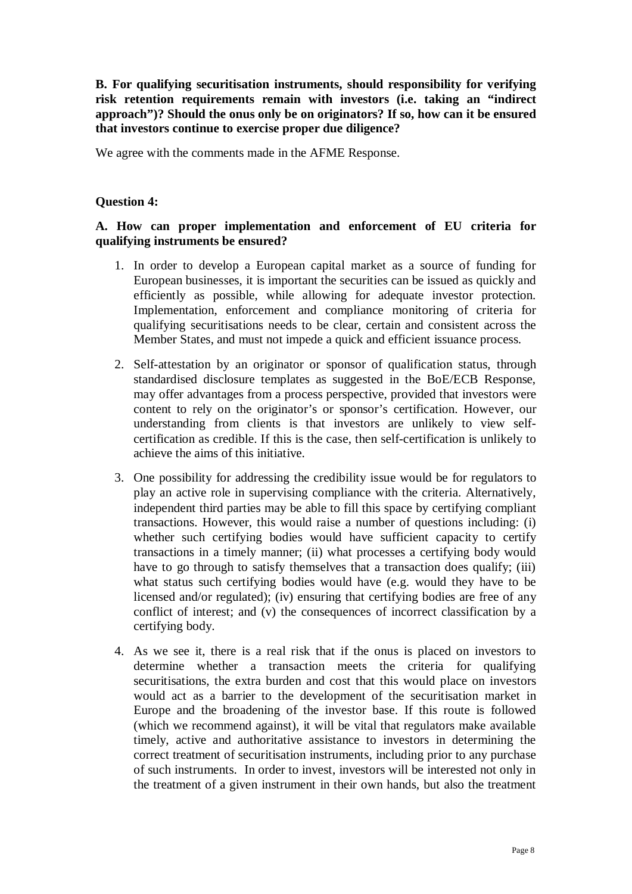**B. For qualifying securitisation instruments, should responsibility for verifying risk retention requirements remain with investors (i.e. taking an "indirect approach")? Should the onus only be on originators? If so, how can it be ensured that investors continue to exercise proper due diligence?**

We agree with the comments made in the AFME Response.

## **Question 4:**

# **A. How can proper implementation and enforcement of EU criteria for qualifying instruments be ensured?**

- 1. In order to develop a European capital market as a source of funding for European businesses, it is important the securities can be issued as quickly and efficiently as possible, while allowing for adequate investor protection. Implementation, enforcement and compliance monitoring of criteria for qualifying securitisations needs to be clear, certain and consistent across the Member States, and must not impede a quick and efficient issuance process.
- 2. Self-attestation by an originator or sponsor of qualification status, through standardised disclosure templates as suggested in the BoE/ECB Response, may offer advantages from a process perspective, provided that investors were content to rely on the originator's or sponsor's certification. However, our understanding from clients is that investors are unlikely to view selfcertification as credible. If this is the case, then self-certification is unlikely to achieve the aims of this initiative.
- 3. One possibility for addressing the credibility issue would be for regulators to play an active role in supervising compliance with the criteria. Alternatively, independent third parties may be able to fill this space by certifying compliant transactions. However, this would raise a number of questions including: (i) whether such certifying bodies would have sufficient capacity to certify transactions in a timely manner; (ii) what processes a certifying body would have to go through to satisfy themselves that a transaction does qualify; (iii) what status such certifying bodies would have (e.g. would they have to be licensed and/or regulated); (iv) ensuring that certifying bodies are free of any conflict of interest; and (v) the consequences of incorrect classification by a certifying body.
- 4. As we see it, there is a real risk that if the onus is placed on investors to determine whether a transaction meets the criteria for qualifying securitisations, the extra burden and cost that this would place on investors would act as a barrier to the development of the securitisation market in Europe and the broadening of the investor base. If this route is followed (which we recommend against), it will be vital that regulators make available timely, active and authoritative assistance to investors in determining the correct treatment of securitisation instruments, including prior to any purchase of such instruments. In order to invest, investors will be interested not only in the treatment of a given instrument in their own hands, but also the treatment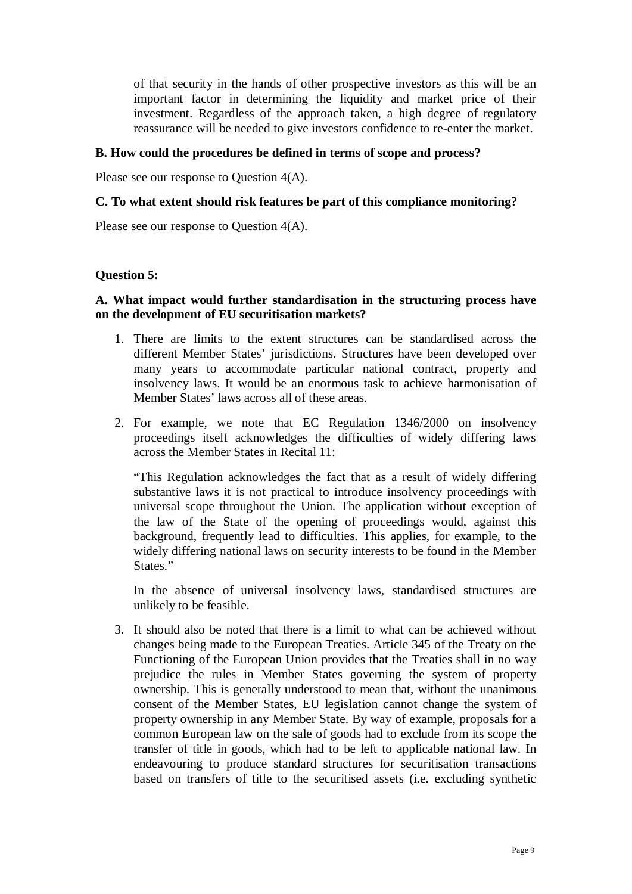of that security in the hands of other prospective investors as this will be an important factor in determining the liquidity and market price of their investment. Regardless of the approach taken, a high degree of regulatory reassurance will be needed to give investors confidence to re-enter the market.

## **B. How could the procedures be defined in terms of scope and process?**

Please see our response to Question 4(A).

### **C. To what extent should risk features be part of this compliance monitoring?**

Please see our response to Question 4(A).

#### **Question 5:**

# **A. What impact would further standardisation in the structuring process have on the development of EU securitisation markets?**

- 1. There are limits to the extent structures can be standardised across the different Member States' jurisdictions. Structures have been developed over many years to accommodate particular national contract, property and insolvency laws. It would be an enormous task to achieve harmonisation of Member States' laws across all of these areas.
- 2. For example, we note that EC Regulation 1346/2000 on insolvency proceedings itself acknowledges the difficulties of widely differing laws across the Member States in Recital 11:

"This Regulation acknowledges the fact that as a result of widely differing substantive laws it is not practical to introduce insolvency proceedings with universal scope throughout the Union. The application without exception of the law of the State of the opening of proceedings would, against this background, frequently lead to difficulties. This applies, for example, to the widely differing national laws on security interests to be found in the Member States."

In the absence of universal insolvency laws, standardised structures are unlikely to be feasible.

3. It should also be noted that there is a limit to what can be achieved without changes being made to the European Treaties. Article 345 of the Treaty on the Functioning of the European Union provides that the Treaties shall in no way prejudice the rules in Member States governing the system of property ownership. This is generally understood to mean that, without the unanimous consent of the Member States, EU legislation cannot change the system of property ownership in any Member State. By way of example, proposals for a common European law on the sale of goods had to exclude from its scope the transfer of title in goods, which had to be left to applicable national law. In endeavouring to produce standard structures for securitisation transactions based on transfers of title to the securitised assets (i.e. excluding synthetic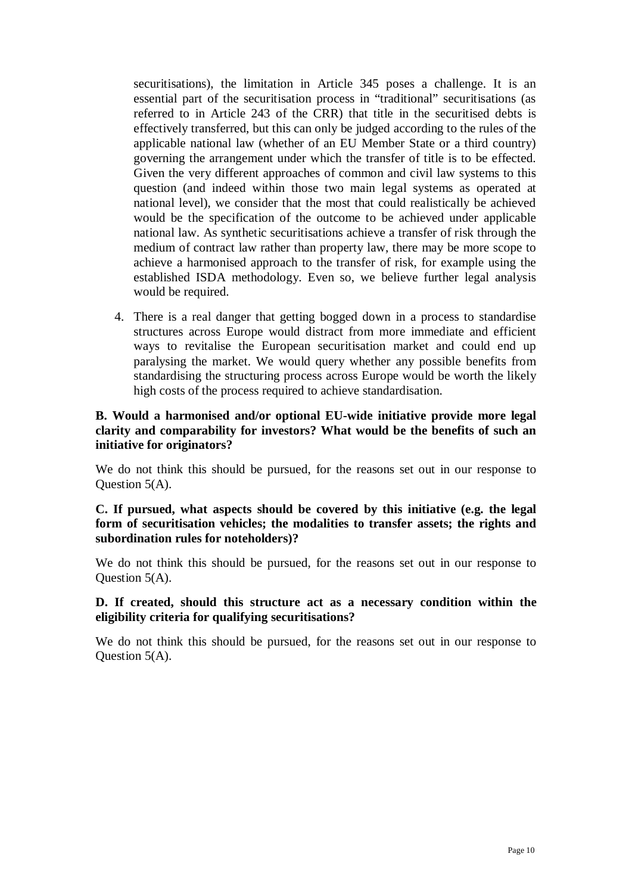securitisations), the limitation in Article 345 poses a challenge. It is an essential part of the securitisation process in "traditional" securitisations (as referred to in Article 243 of the CRR) that title in the securitised debts is effectively transferred, but this can only be judged according to the rules of the applicable national law (whether of an EU Member State or a third country) governing the arrangement under which the transfer of title is to be effected. Given the very different approaches of common and civil law systems to this question (and indeed within those two main legal systems as operated at national level), we consider that the most that could realistically be achieved would be the specification of the outcome to be achieved under applicable national law. As synthetic securitisations achieve a transfer of risk through the medium of contract law rather than property law, there may be more scope to achieve a harmonised approach to the transfer of risk, for example using the established ISDA methodology. Even so, we believe further legal analysis would be required.

4. There is a real danger that getting bogged down in a process to standardise structures across Europe would distract from more immediate and efficient ways to revitalise the European securitisation market and could end up paralysing the market. We would query whether any possible benefits from standardising the structuring process across Europe would be worth the likely high costs of the process required to achieve standardisation.

# **B. Would a harmonised and/or optional EU-wide initiative provide more legal clarity and comparability for investors? What would be the benefits of such an initiative for originators?**

We do not think this should be pursued, for the reasons set out in our response to Question 5(A).

**C. If pursued, what aspects should be covered by this initiative (e.g. the legal form of securitisation vehicles; the modalities to transfer assets; the rights and subordination rules for noteholders)?**

We do not think this should be pursued, for the reasons set out in our response to Question 5(A).

# **D. If created, should this structure act as a necessary condition within the eligibility criteria for qualifying securitisations?**

We do not think this should be pursued, for the reasons set out in our response to Question 5(A).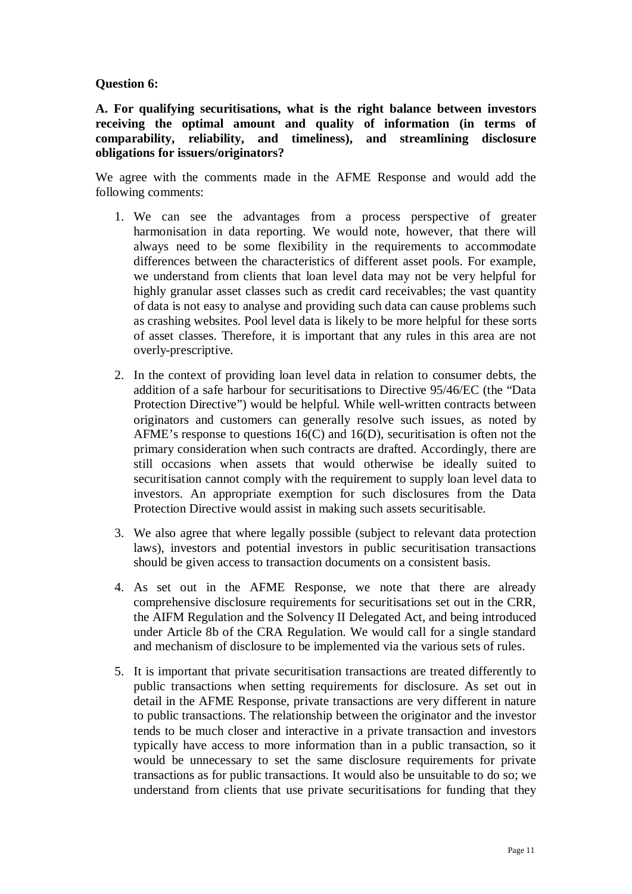## **Question 6:**

**A. For qualifying securitisations, what is the right balance between investors receiving the optimal amount and quality of information (in terms of comparability, reliability, and timeliness), and streamlining disclosure obligations for issuers/originators?**

We agree with the comments made in the AFME Response and would add the following comments:

- 1. We can see the advantages from a process perspective of greater harmonisation in data reporting. We would note, however, that there will always need to be some flexibility in the requirements to accommodate differences between the characteristics of different asset pools. For example, we understand from clients that loan level data may not be very helpful for highly granular asset classes such as credit card receivables; the vast quantity of data is not easy to analyse and providing such data can cause problems such as crashing websites. Pool level data is likely to be more helpful for these sorts of asset classes. Therefore, it is important that any rules in this area are not overly-prescriptive.
- 2. In the context of providing loan level data in relation to consumer debts, the addition of a safe harbour for securitisations to Directive 95/46/EC (the "Data Protection Directive") would be helpful. While well-written contracts between originators and customers can generally resolve such issues, as noted by AFME's response to questions 16(C) and 16(D), securitisation is often not the primary consideration when such contracts are drafted. Accordingly, there are still occasions when assets that would otherwise be ideally suited to securitisation cannot comply with the requirement to supply loan level data to investors. An appropriate exemption for such disclosures from the Data Protection Directive would assist in making such assets securitisable.
- 3. We also agree that where legally possible (subject to relevant data protection laws), investors and potential investors in public securitisation transactions should be given access to transaction documents on a consistent basis.
- 4. As set out in the AFME Response, we note that there are already comprehensive disclosure requirements for securitisations set out in the CRR, the AIFM Regulation and the Solvency II Delegated Act, and being introduced under Article 8b of the CRA Regulation. We would call for a single standard and mechanism of disclosure to be implemented via the various sets of rules.
- 5. It is important that private securitisation transactions are treated differently to public transactions when setting requirements for disclosure. As set out in detail in the AFME Response, private transactions are very different in nature to public transactions. The relationship between the originator and the investor tends to be much closer and interactive in a private transaction and investors typically have access to more information than in a public transaction, so it would be unnecessary to set the same disclosure requirements for private transactions as for public transactions. It would also be unsuitable to do so; we understand from clients that use private securitisations for funding that they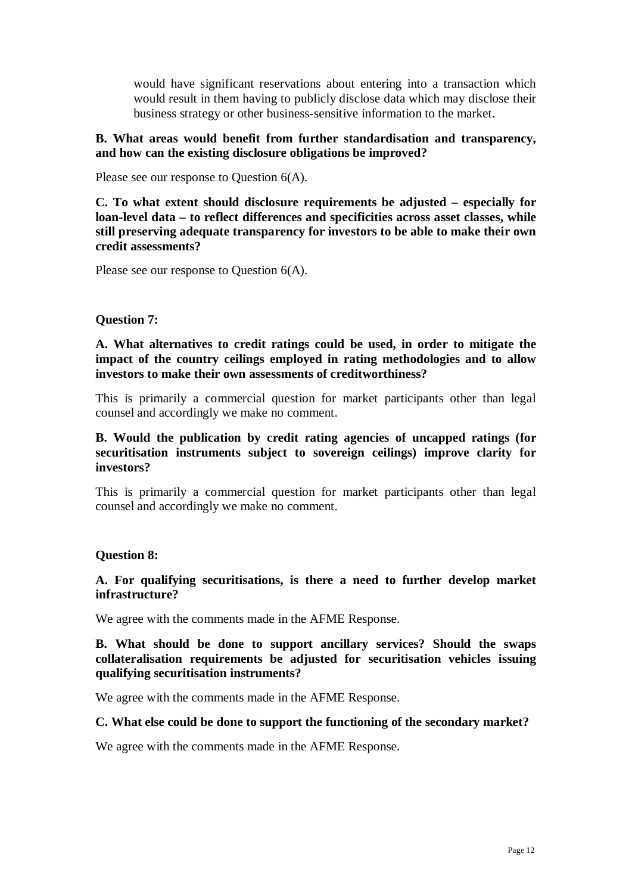would have significant reservations about entering into a transaction which would result in them having to publicly disclose data which may disclose their business strategy or other business-sensitive information to the market.

# **B. What areas would benefit from further standardisation and transparency, and how can the existing disclosure obligations be improved?**

Please see our response to Question 6(A).

**C. To what extent should disclosure requirements be adjusted – especially for loan-level data – to reflect differences and specificities across asset classes, while still preserving adequate transparency for investors to be able to make their own credit assessments?**

Please see our response to Question 6(A).

#### **Question 7:**

**A. What alternatives to credit ratings could be used, in order to mitigate the impact of the country ceilings employed in rating methodologies and to allow investors to make their own assessments of creditworthiness?**

This is primarily a commercial question for market participants other than legal counsel and accordingly we make no comment.

**B. Would the publication by credit rating agencies of uncapped ratings (for securitisation instruments subject to sovereign ceilings) improve clarity for investors?**

This is primarily a commercial question for market participants other than legal counsel and accordingly we make no comment.

## **Question 8:**

**A. For qualifying securitisations, is there a need to further develop market infrastructure?**

We agree with the comments made in the AFME Response.

**B. What should be done to support ancillary services? Should the swaps collateralisation requirements be adjusted for securitisation vehicles issuing qualifying securitisation instruments?**

We agree with the comments made in the AFME Response.

#### **C. What else could be done to support the functioning of the secondary market?**

We agree with the comments made in the AFME Response.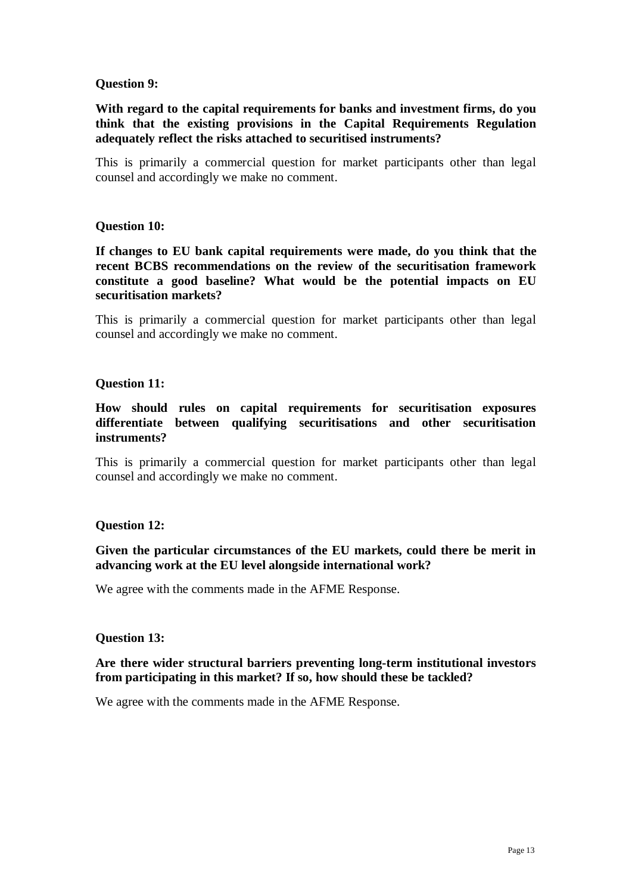### **Question 9:**

# **With regard to the capital requirements for banks and investment firms, do you think that the existing provisions in the Capital Requirements Regulation adequately reflect the risks attached to securitised instruments?**

This is primarily a commercial question for market participants other than legal counsel and accordingly we make no comment.

## **Question 10:**

**If changes to EU bank capital requirements were made, do you think that the recent BCBS recommendations on the review of the securitisation framework constitute a good baseline? What would be the potential impacts on EU securitisation markets?**

This is primarily a commercial question for market participants other than legal counsel and accordingly we make no comment.

#### **Question 11:**

**How should rules on capital requirements for securitisation exposures differentiate between qualifying securitisations and other securitisation instruments?**

This is primarily a commercial question for market participants other than legal counsel and accordingly we make no comment.

#### **Question 12:**

## **Given the particular circumstances of the EU markets, could there be merit in advancing work at the EU level alongside international work?**

We agree with the comments made in the AFME Response.

#### **Question 13:**

## **Are there wider structural barriers preventing long-term institutional investors from participating in this market? If so, how should these be tackled?**

We agree with the comments made in the AFME Response.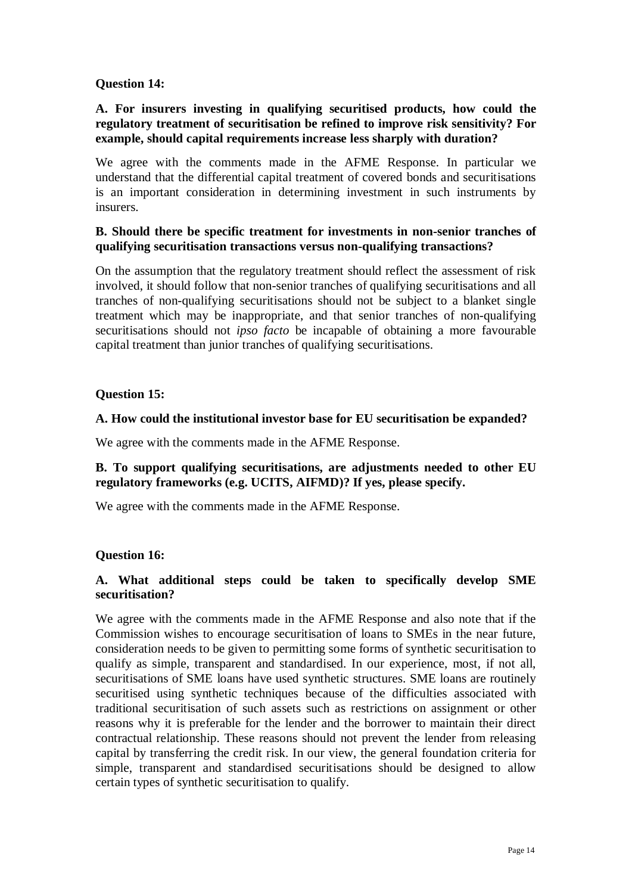# **Question 14:**

# **A. For insurers investing in qualifying securitised products, how could the regulatory treatment of securitisation be refined to improve risk sensitivity? For example, should capital requirements increase less sharply with duration?**

We agree with the comments made in the AFME Response. In particular we understand that the differential capital treatment of covered bonds and securitisations is an important consideration in determining investment in such instruments by insurers.

# **B. Should there be specific treatment for investments in non-senior tranches of qualifying securitisation transactions versus non-qualifying transactions?**

On the assumption that the regulatory treatment should reflect the assessment of risk involved, it should follow that non-senior tranches of qualifying securitisations and all tranches of non-qualifying securitisations should not be subject to a blanket single treatment which may be inappropriate, and that senior tranches of non-qualifying securitisations should not *ipso facto* be incapable of obtaining a more favourable capital treatment than junior tranches of qualifying securitisations.

# **Question 15:**

## **A. How could the institutional investor base for EU securitisation be expanded?**

We agree with the comments made in the AFME Response.

# **B. To support qualifying securitisations, are adjustments needed to other EU regulatory frameworks (e.g. UCITS, AIFMD)? If yes, please specify.**

We agree with the comments made in the AFME Response.

## **Question 16:**

# **A. What additional steps could be taken to specifically develop SME securitisation?**

We agree with the comments made in the AFME Response and also note that if the Commission wishes to encourage securitisation of loans to SMEs in the near future, consideration needs to be given to permitting some forms of synthetic securitisation to qualify as simple, transparent and standardised. In our experience, most, if not all, securitisations of SME loans have used synthetic structures. SME loans are routinely securitised using synthetic techniques because of the difficulties associated with traditional securitisation of such assets such as restrictions on assignment or other reasons why it is preferable for the lender and the borrower to maintain their direct contractual relationship. These reasons should not prevent the lender from releasing capital by transferring the credit risk. In our view, the general foundation criteria for simple, transparent and standardised securitisations should be designed to allow certain types of synthetic securitisation to qualify.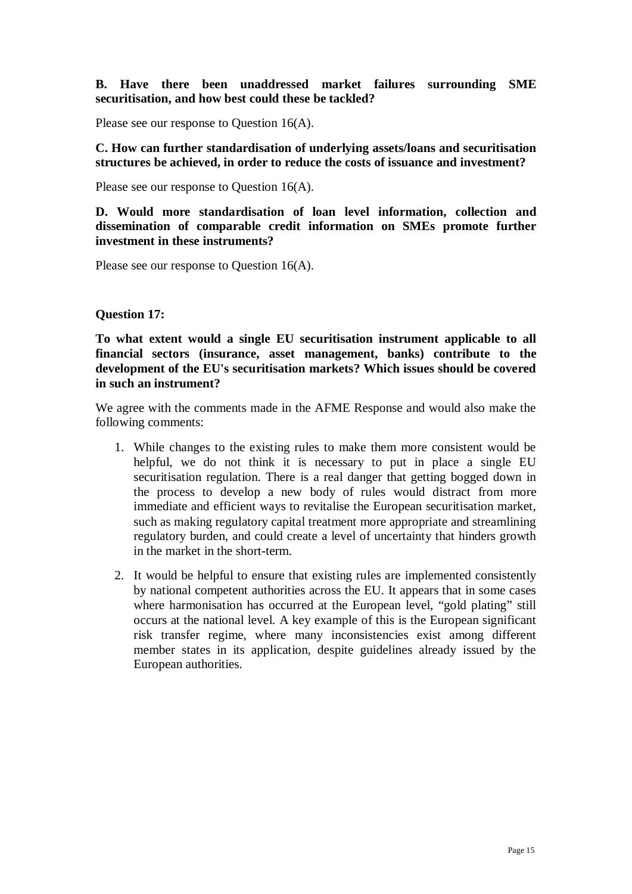**B. Have there been unaddressed market failures surrounding SME securitisation, and how best could these be tackled?**

Please see our response to Question 16(A).

**C. How can further standardisation of underlying assets/loans and securitisation structures be achieved, in order to reduce the costs of issuance and investment?**

Please see our response to Question 16(A).

**D. Would more standardisation of loan level information, collection and dissemination of comparable credit information on SMEs promote further investment in these instruments?**

Please see our response to Question 16(A).

#### **Question 17:**

**To what extent would a single EU securitisation instrument applicable to all financial sectors (insurance, asset management, banks) contribute to the development of the EU's securitisation markets? Which issues should be covered in such an instrument?**

We agree with the comments made in the AFME Response and would also make the following comments:

- 1. While changes to the existing rules to make them more consistent would be helpful, we do not think it is necessary to put in place a single EU securitisation regulation. There is a real danger that getting bogged down in the process to develop a new body of rules would distract from more immediate and efficient ways to revitalise the European securitisation market, such as making regulatory capital treatment more appropriate and streamlining regulatory burden, and could create a level of uncertainty that hinders growth in the market in the short-term.
- 2. It would be helpful to ensure that existing rules are implemented consistently by national competent authorities across the EU. It appears that in some cases where harmonisation has occurred at the European level, "gold plating" still occurs at the national level. A key example of this is the European significant risk transfer regime, where many inconsistencies exist among different member states in its application, despite guidelines already issued by the European authorities.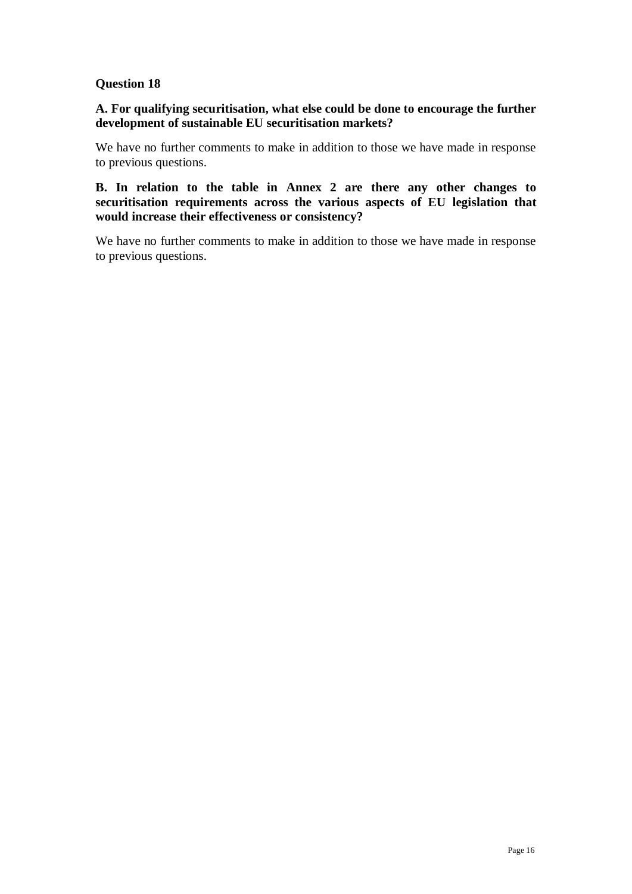# **Question 18**

# **A. For qualifying securitisation, what else could be done to encourage the further development of sustainable EU securitisation markets?**

We have no further comments to make in addition to those we have made in response to previous questions.

**B. In relation to the table in Annex 2 are there any other changes to securitisation requirements across the various aspects of EU legislation that would increase their effectiveness or consistency?**

We have no further comments to make in addition to those we have made in response to previous questions.